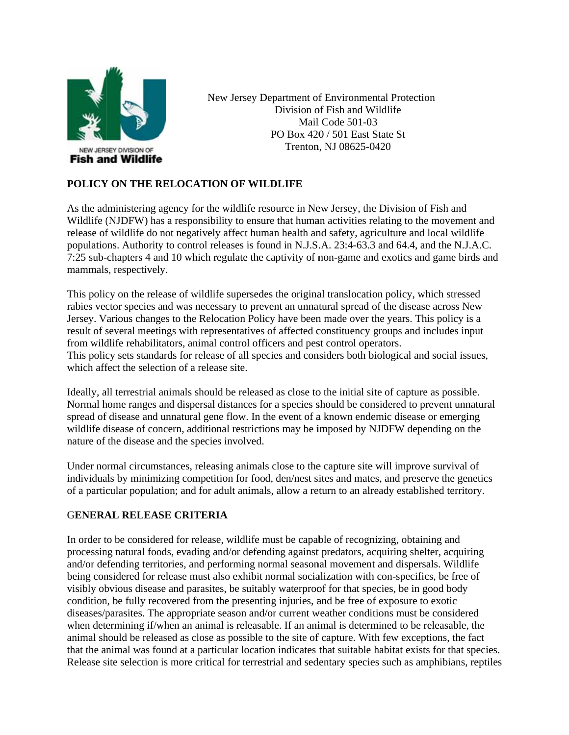

New Jersey Department of Environmental Protection Division of Fish and Wildlife Mail Code 501-03 PO Box 420 / 501 East State St Trenton, NJ 08625-0420

# POLICY ON THE RELOCATION OF WILDLIFE

As the administering agency for the wildlife resource in New Jersey, the Division of Fish and Wildlife (NJDFW) has a responsibility to ensure that human activities relating to the movement and release of wildlife do not negatively affect human health and safety, agriculture and local wildlife populations. Authority to control releases is found in N.J.S.A. 23:4-63.3 and 64.4, and the N.J.A.C. 7:25 sub-chapters 4 and 10 which regulate the captivity of non-game and exotics and game birds and mammals, respectively.

This policy on the release of wildlife supersedes the original translocation policy, which stressed rabies vector species and was necessary to prevent an unnatural spread of the disease across New Jersey. Various changes to the Relocation Policy have been made over the years. This policy is a result of several meetings with representatives of affected constituency groups and includes input from wildlife rehabilitators, animal control officers and pest control operators. This policy sets standards for release of all species and considers both biological and social issues, which affect the selection of a release site.

Ideally, all terrestrial animals should be released as close to the initial site of capture as possible. Normal home ranges and dispersal distances for a species should be considered to prevent unnatural spread of disease and unnatural gene flow. In the event of a known endemic disease or emerging wildlife disease of concern, additional restrictions may be imposed by NJDFW depending on the nature of the disease and the species involved.

Under normal circumstances, releasing animals close to the capture site will improve survival of individuals by minimizing competition for food, den/nest sites and mates, and preserve the genetics of a particular population; and for adult animals, allow a return to an already established territory.

# **GENERAL RELEASE CRITERIA**

In order to be considered for release, wildlife must be capable of recognizing, obtaining and processing natural foods, evading and/or defending against predators, acquiring shelter, acquiring and/or defending territories, and performing normal seasonal movement and dispersals. Wildlife being considered for release must also exhibit normal socialization with con-specifics, be free of visibly obvious disease and parasites, be suitably waterproof for that species, be in good body condition, be fully recovered from the presenting injuries, and be free of exposure to exotic diseases/parasites. The appropriate season and/or current weather conditions must be considered when determining if/when an animal is releasable. If an animal is determined to be releasable, the animal should be released as close as possible to the site of capture. With few exceptions, the fact that the animal was found at a particular location indicates that suitable habitat exists for that species. Release site selection is more critical for terrestrial and sedentary species such as amphibians, reptiles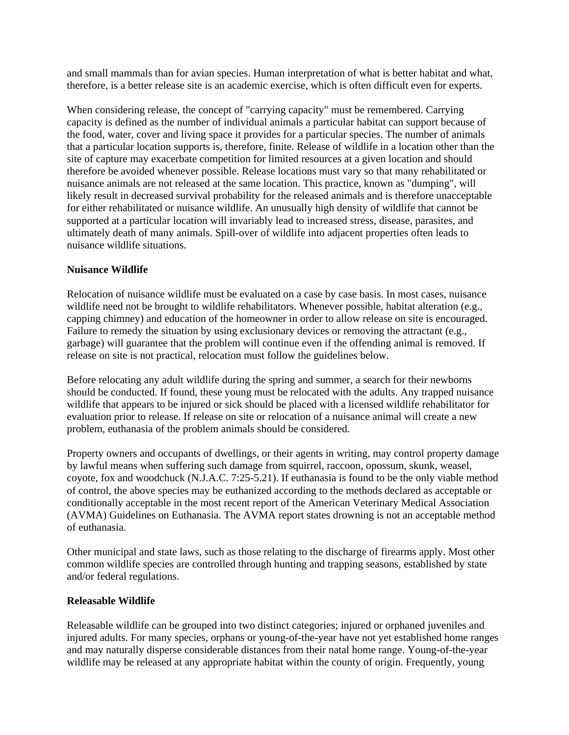and small mammals than for avian species. Human interpretation of what is better habitat and what, therefore, is a better release site is an academic exercise, which is often difficult even for experts.

When considering release, the concept of "carrying capacity" must be remembered. Carrying capacity is defined as the number of individual animals a particular habitat can support because of the food, water, cover and living space it provides for a particular species. The number of animals that a particular location supports is, therefore, finite. Release of wildlife in a location other than the site of capture may exacerbate competition for limited resources at a given location and should therefore be avoided whenever possible. Release locations must vary so that many rehabilitated or nuisance animals are not released at the same location. This practice, known as "dumping", will likely result in decreased survival probability for the released animals and is therefore unacceptable for either rehabilitated or nuisance wildlife. An unusually high density of wildlife that cannot be supported at a particular location will invariably lead to increased stress, disease, parasites, and ultimately death of many animals. Spill-over of wildlife into adjacent properties often leads to nuisance wildlife situations.

### **Nuisance Wildlife**

Relocation of nuisance wildlife must be evaluated on a case by case basis. In most cases, nuisance wildlife need not be brought to wildlife rehabilitators. Whenever possible, habitat alteration (e.g., capping chimney) and education of the homeowner in order to allow release on site is encouraged. Failure to remedy the situation by using exclusionary devices or removing the attractant (e.g., garbage) will guarantee that the problem will continue even if the offending animal is removed. If release on site is not practical, relocation must follow the guidelines below.

Before relocating any adult wildlife during the spring and summer, a search for their newborns should be conducted. If found, these young must be relocated with the adults. Any trapped nuisance wildlife that appears to be injured or sick should be placed with a licensed wildlife rehabilitator for evaluation prior to release. If release on site or relocation of a nuisance animal will create a new problem, euthanasia of the problem animals should be considered.

Property owners and occupants of dwellings, or their agents in writing, may control property damage by lawful means when suffering such damage from squirrel, raccoon, opossum, skunk, weasel, coyote, fox and woodchuck (N.J.A.C. 7:25-5.21). If euthanasia is found to be the only viable method of control, the above species may be euthanized according to the methods declared as acceptable or conditionally acceptable in the most recent report of the American Veterinary Medical Association (AVMA) Guidelines on Euthanasia. The AVMA report states drowning is not an acceptable method of euthanasia.

Other municipal and state laws, such as those relating to the discharge of firearms apply. Most other common wildlife species are controlled through hunting and trapping seasons, established by state and/or federal regulations.

### **Releasable Wildlife**

Releasable wildlife can be grouped into two distinct categories; injured or orphaned juveniles and injured adults. For many species, orphans or young-of-the-year have not yet established home ranges and may naturally disperse considerable distances from their natal home range. Young-of-the-year wildlife may be released at any appropriate habitat within the county of origin. Frequently, young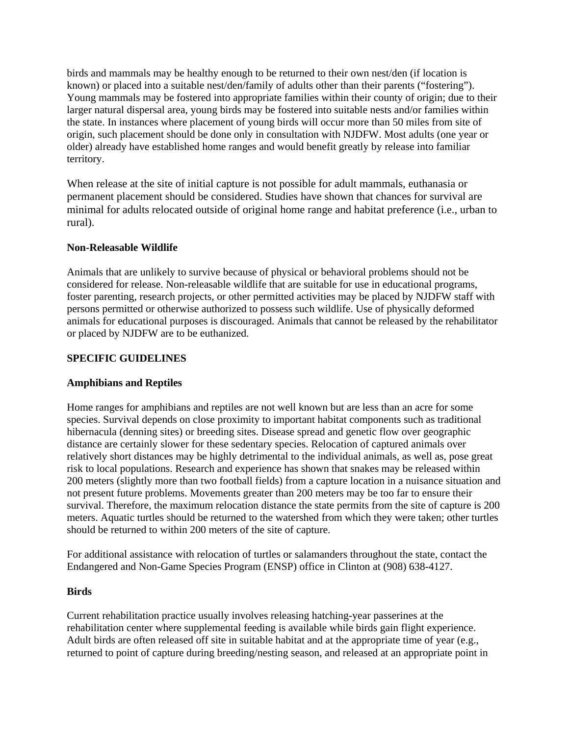birds and mammals may be healthy enough to be returned to their own nest/den (if location is known) or placed into a suitable nest/den/family of adults other than their parents ("fostering"). Young mammals may be fostered into appropriate families within their county of origin; due to their larger natural dispersal area, young birds may be fostered into suitable nests and/or families within the state. In instances where placement of young birds will occur more than 50 miles from site of origin, such placement should be done only in consultation with NJDFW. Most adults (one year or older) already have established home ranges and would benefit greatly by release into familiar territory.

When release at the site of initial capture is not possible for adult mammals, euthanasia or permanent placement should be considered. Studies have shown that chances for survival are minimal for adults relocated outside of original home range and habitat preference (i.e., urban to rural).

# **Non-Releasable Wildlife**

Animals that are unlikely to survive because of physical or behavioral problems should not be considered for release. Non-releasable wildlife that are suitable for use in educational programs, foster parenting, research projects, or other permitted activities may be placed by NJDFW staff with persons permitted or otherwise authorized to possess such wildlife. Use of physically deformed animals for educational purposes is discouraged. Animals that cannot be released by the rehabilitator or placed by NJDFW are to be euthanized.

# **SPECIFIC GUIDELINES**

# **Amphibians and Reptiles**

Home ranges for amphibians and reptiles are not well known but are less than an acre for some species. Survival depends on close proximity to important habitat components such as traditional hibernacula (denning sites) or breeding sites. Disease spread and genetic flow over geographic distance are certainly slower for these sedentary species. Relocation of captured animals over relatively short distances may be highly detrimental to the individual animals, as well as, pose great risk to local populations. Research and experience has shown that snakes may be released within 200 meters (slightly more than two football fields) from a capture location in a nuisance situation and not present future problems. Movements greater than 200 meters may be too far to ensure their survival. Therefore, the maximum relocation distance the state permits from the site of capture is 200 meters. Aquatic turtles should be returned to the watershed from which they were taken; other turtles should be returned to within 200 meters of the site of capture.

For additional assistance with relocation of turtles or salamanders throughout the state, contact the Endangered and Non-Game Species Program (ENSP) office in Clinton at (908) 638-4127.

### **Birds**

Current rehabilitation practice usually involves releasing hatching-year passerines at the rehabilitation center where supplemental feeding is available while birds gain flight experience. Adult birds are often released off site in suitable habitat and at the appropriate time of year (e.g., returned to point of capture during breeding/nesting season, and released at an appropriate point in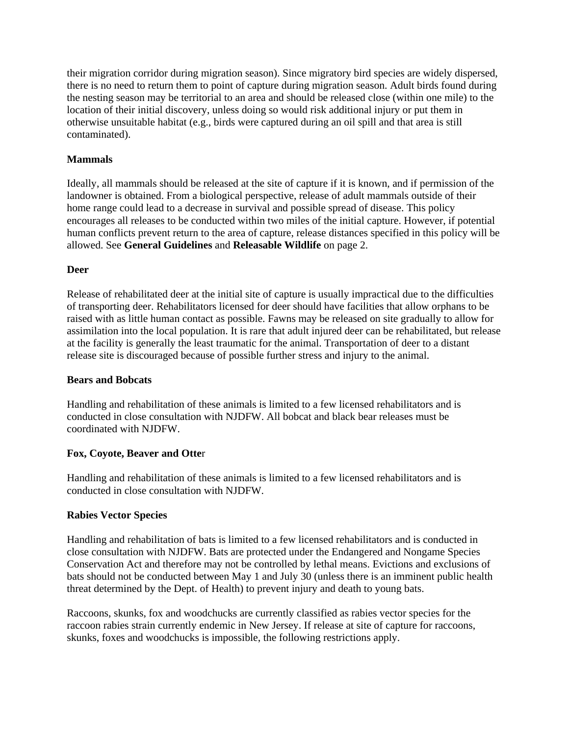their migration corridor during migration season). Since migratory bird species are widely dispersed, there is no need to return them to point of capture during migration season. Adult birds found during the nesting season may be territorial to an area and should be released close (within one mile) to the location of their initial discovery, unless doing so would risk additional injury or put them in otherwise unsuitable habitat (e.g., birds were captured during an oil spill and that area is still contaminated).

# **Mammals**

Ideally, all mammals should be released at the site of capture if it is known, and if permission of the landowner is obtained. From a biological perspective, release of adult mammals outside of their home range could lead to a decrease in survival and possible spread of disease. This policy encourages all releases to be conducted within two miles of the initial capture. However, if potential human conflicts prevent return to the area of capture, release distances specified in this policy will be allowed. See **General Guidelines** and **Releasable Wildlife** on page 2.

### **Deer**

Release of rehabilitated deer at the initial site of capture is usually impractical due to the difficulties of transporting deer. Rehabilitators licensed for deer should have facilities that allow orphans to be raised with as little human contact as possible. Fawns may be released on site gradually to allow for assimilation into the local population. It is rare that adult injured deer can be rehabilitated, but release at the facility is generally the least traumatic for the animal. Transportation of deer to a distant release site is discouraged because of possible further stress and injury to the animal.

### **Bears and Bobcats**

Handling and rehabilitation of these animals is limited to a few licensed rehabilitators and is conducted in close consultation with NJDFW. All bobcat and black bear releases must be coordinated with NJDFW.

### **Fox, Coyote, Beaver and Otte**r

Handling and rehabilitation of these animals is limited to a few licensed rehabilitators and is conducted in close consultation with NJDFW.

### **Rabies Vector Species**

Handling and rehabilitation of bats is limited to a few licensed rehabilitators and is conducted in close consultation with NJDFW. Bats are protected under the Endangered and Nongame Species Conservation Act and therefore may not be controlled by lethal means. Evictions and exclusions of bats should not be conducted between May 1 and July 30 (unless there is an imminent public health threat determined by the Dept. of Health) to prevent injury and death to young bats.

Raccoons, skunks, fox and woodchucks are currently classified as rabies vector species for the raccoon rabies strain currently endemic in New Jersey. If release at site of capture for raccoons, skunks, foxes and woodchucks is impossible, the following restrictions apply.